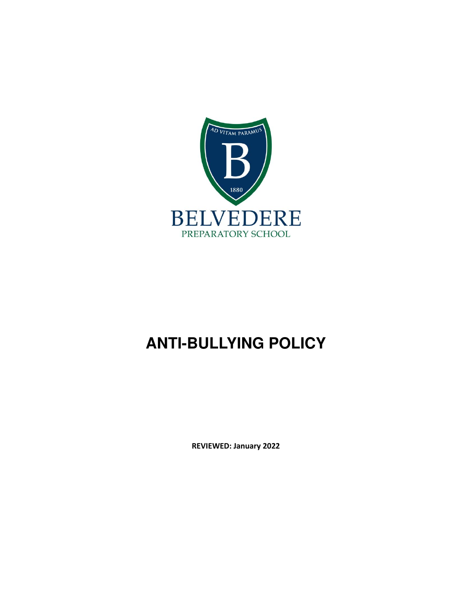

# **ANTI-BULLYING POLICY**

**REVIEWED: January 2022**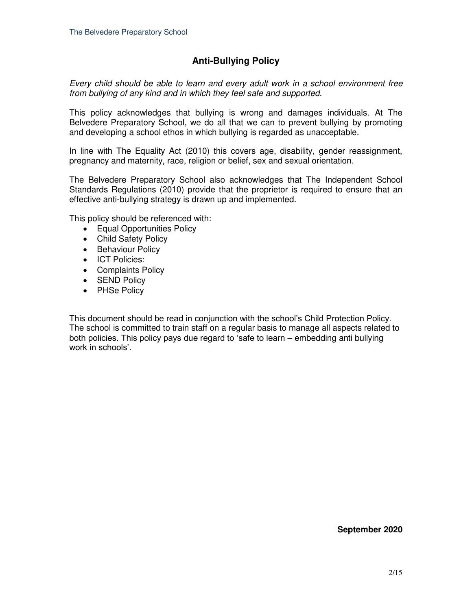### **Anti-Bullying Policy**

*Every child should be able to learn and every adult work in a school environment free from bullying of any kind and in which they feel safe and supported.* 

This policy acknowledges that bullying is wrong and damages individuals. At The Belvedere Preparatory School, we do all that we can to prevent bullying by promoting and developing a school ethos in which bullying is regarded as unacceptable.

In line with The Equality Act (2010) this covers age, disability, gender reassignment, pregnancy and maternity, race, religion or belief, sex and sexual orientation.

The Belvedere Preparatory School also acknowledges that The Independent School Standards Regulations (2010) provide that the proprietor is required to ensure that an effective anti-bullying strategy is drawn up and implemented.

This policy should be referenced with:

- Equal Opportunities Policy
- Child Safety Policy
- Behaviour Policy
- ICT Policies:
- Complaints Policy
- SEND Policy
- PHSe Policy

This document should be read in conjunction with the school's Child Protection Policy. The school is committed to train staff on a regular basis to manage all aspects related to both policies. This policy pays due regard to 'safe to learn – embedding anti bullying work in schools'.

#### **September 2020**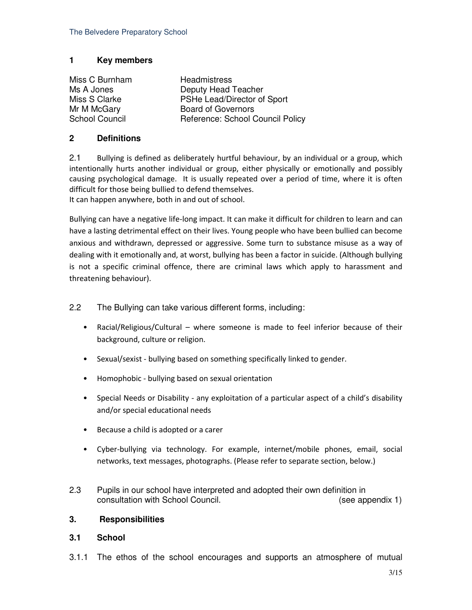#### **1 Key members**

Miss C Burnham Headmistress

Ms A Jones **Deputy Head Teacher** Miss S Clarke **PSHe Lead/Director of Sport** Mr M McGary Board of Governors<br>
School Council School C Reference: School Council Policy

#### **2 Definitions**

2.1 Bullying is defined as deliberately hurtful behaviour, by an individual or a group, which intentionally hurts another individual or group, either physically or emotionally and possibly causing psychological damage. It is usually repeated over a period of time, where it is often difficult for those being bullied to defend themselves. It can happen anywhere, both in and out of school.

Bullying can have a negative life-long impact. It can make it difficult for children to learn and can have a lasting detrimental effect on their lives. Young people who have been bullied can become anxious and withdrawn, depressed or aggressive. Some turn to substance misuse as a way of dealing with it emotionally and, at worst, bullying has been a factor in suicide. (Although bullying is not a specific criminal offence, there are criminal laws which apply to harassment and threatening behaviour).

- 2.2 The Bullying can take various different forms, including:
	- Racial/Religious/Cultural where someone is made to feel inferior because of their background, culture or religion.
	- Sexual/sexist bullying based on something specifically linked to gender.
	- Homophobic bullying based on sexual orientation
	- Special Needs or Disability any exploitation of a particular aspect of a child's disability and/or special educational needs
	- Because a child is adopted or a carer
	- Cyber-bullying via technology. For example, internet/mobile phones, email, social networks, text messages, photographs. (Please refer to separate section, below.)
- 2.3 Pupils in our school have interpreted and adopted their own definition in consultation with School Council. (see appendix 1)

#### **3. Responsibilities**

#### **3.1 School**

3.1.1 The ethos of the school encourages and supports an atmosphere of mutual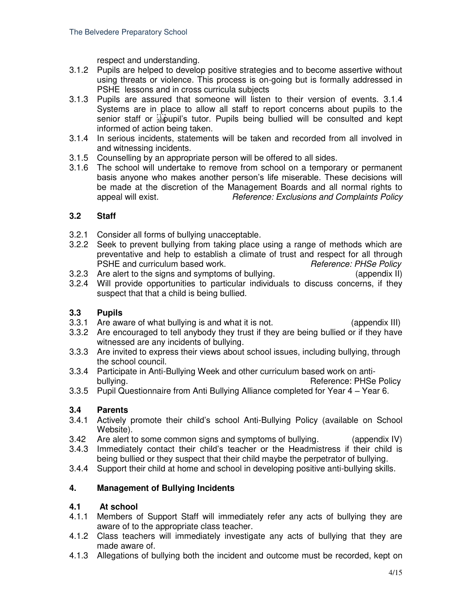respect and understanding.

- 3.1.2 Pupils are helped to develop positive strategies and to become assertive without using threats or violence. This process is on-going but is formally addressed in PSHE lessons and in cross curricula subjects
- 3.1.3 Pupils are assured that someone will listen to their version of events. 3.1.4 Systems are in place to allow all staff to report concerns about pupils to the senior staff or **Figupil's** tutor. Pupils being bullied will be consulted and kept informed of action being taken.
- 3.1.4 In serious incidents, statements will be taken and recorded from all involved in and witnessing incidents.
- 3.1.5 Counselling by an appropriate person will be offered to all sides.
- 3.1.6 The school will undertake to remove from school on a temporary or permanent basis anyone who makes another person's life miserable. These decisions will be made at the discretion of the Management Boards and all normal rights to appeal will exist. *Reference: Exclusions and Complaints Policy*

#### **3.2 Staff**

- 3.2.1 Consider all forms of bullying unacceptable.
- 3.2.2 Seek to prevent bullying from taking place using a range of methods which are preventative and help to establish a climate of trust and respect for all through PSHE and curriculum based work. *Reference: PHSe Policy*
- 3.2.3 Are alert to the signs and symptoms of bullying. (appendix II)
- 3.2.4 Will provide opportunities to particular individuals to discuss concerns, if they suspect that that a child is being bullied.

#### **3.3 Pupils**

- 3.3.1 Are aware of what bullying is and what it is not. (appendix III)
- 3.3.2 Are encouraged to tell anybody they trust if they are being bullied or if they have witnessed are any incidents of bullying.
- 3.3.3 Are invited to express their views about school issues, including bullying, through the school council.
- 3.3.4 Participate in Anti-Bullying Week and other curriculum based work on antibullying. The contract of the contract of the contract of the contract of the Policy Reference: PHSe Policy
- 3.3.5 Pupil Questionnaire from Anti Bullying Alliance completed for Year 4 Year 6.

#### **3.4 Parents**

- 3.4.1 Actively promote their child's school Anti-Bullying Policy (available on School Website).
- 3.42 Are alert to some common signs and symptoms of bullying. (appendix IV)
- 3.4.3 Immediately contact their child's teacher or the Headmistress if their child is being bullied or they suspect that their child maybe the perpetrator of bullying.
- 3.4.4 Support their child at home and school in developing positive anti-bullying skills.

#### **4. Management of Bullying Incidents**

#### **4.1 At school**

- 4.1.1 Members of Support Staff will immediately refer any acts of bullying they are aware of to the appropriate class teacher.
- 4.1.2 Class teachers will immediately investigate any acts of bullying that they are made aware of.
- 4.1.3 Allegations of bullying both the incident and outcome must be recorded, kept on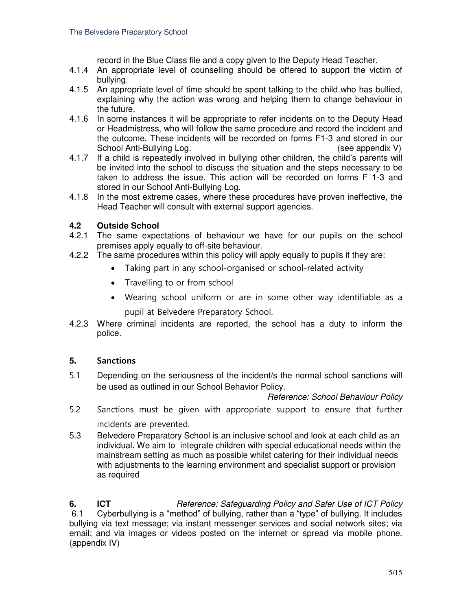record in the Blue Class file and a copy given to the Deputy Head Teacher.

- 4.1.4 An appropriate level of counselling should be offered to support the victim of bullying.
- 4.1.5 An appropriate level of time should be spent talking to the child who has bullied, explaining why the action was wrong and helping them to change behaviour in the future.
- 4.1.6 In some instances it will be appropriate to refer incidents on to the Deputy Head or Headmistress, who will follow the same procedure and record the incident and the outcome. These incidents will be recorded on forms F1-3 and stored in our School Anti-Bullying Log. (see appendix V)
- 4.1.7 If a child is repeatedly involved in bullying other children, the child's parents will be invited into the school to discuss the situation and the steps necessary to be taken to address the issue. This action will be recorded on forms F 1-3 and stored in our School Anti-Bullying Log.
- 4.1.8 In the most extreme cases, where these procedures have proven ineffective, the Head Teacher will consult with external support agencies.

#### **4.2 Outside School**

- 4.2.1 The same expectations of behaviour we have for our pupils on the school premises apply equally to off-site behaviour.
- 4.2.2 The same procedures within this policy will apply equally to pupils if they are:
	- Taking part in any school-organised or school-related activity
	- Travelling to or from school
	- Wearing school uniform or are in some other way identifiable as a pupil at Belvedere Preparatory School.
- 4.2.3 Where criminal incidents are reported, the school has a duty to inform the police.

#### **5. Sanctions**

5.1 Depending on the seriousness of the incident/s the normal school sanctions will be used as outlined in our School Behavior Policy.

*Reference: School Behaviour Policy*

- 5.2 Sanctions must be given with appropriate support to ensure that further incidents are prevented.
- 5.3 Belvedere Preparatory School is an inclusive school and look at each child as an individual. We aim to integrate children with special educational needs within the mainstream setting as much as possible whilst catering for their individual needs with adjustments to the learning environment and specialist support or provision as required

**6. ICT** *Reference: Safeguarding Policy and Safer Use of ICT Policy*  6.1 Cyberbullying is a "method" of bullying, rather than a "type" of bullying. It includes bullying via text message; via instant messenger services and social network sites; via email; and via images or videos posted on the internet or spread via mobile phone. (appendix IV)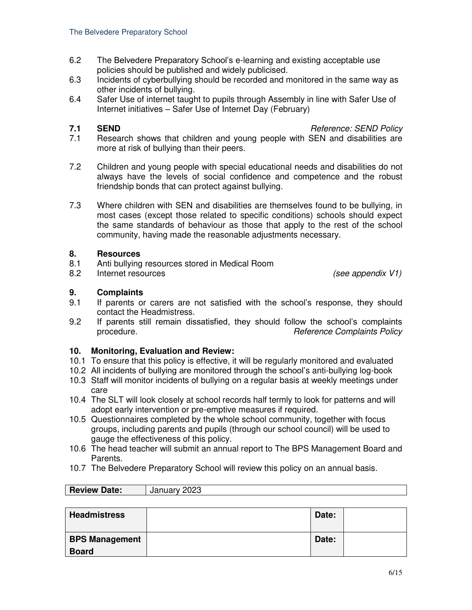- 6.2 The Belvedere Preparatory School's e-learning and existing acceptable use policies should be published and widely publicised.
- 6.3 Incidents of cyberbullying should be recorded and monitored in the same way as other incidents of bullying.
- 6.4 Safer Use of internet taught to pupils through Assembly in line with Safer Use of Internet initiatives – Safer Use of Internet Day (February)

**7.1 SEND** *Reference: SEND Policy* 

- 7.1 Research shows that children and young people with SEN and disabilities are more at risk of bullying than their peers.
- 7.2 Children and young people with special educational needs and disabilities do not always have the levels of social confidence and competence and the robust friendship bonds that can protect against bullying.
- 7.3 Where children with SEN and disabilities are themselves found to be bullying, in most cases (except those related to specific conditions) schools should expect the same standards of behaviour as those that apply to the rest of the school community, having made the reasonable adjustments necessary.

#### **8. Resources**

- 8.1 Anti bullying resources stored in Medical Room
- 8.2 Internet resources *(see appendix V1)*

#### **9. Complaints**

- 9.1 If parents or carers are not satisfied with the school's response, they should contact the Headmistress.
- 9.2 If parents still remain dissatisfied, they should follow the school's complaints procedure.*Reference Complaints Policy*

#### **10. Monitoring, Evaluation and Review:**

**Review Date:** January 2023

- 10.1 To ensure that this policy is effective, it will be regularly monitored and evaluated
- 10.2 All incidents of bullying are monitored through the school's anti-bullying log-book
- 10.3 Staff will monitor incidents of bullying on a regular basis at weekly meetings under care
- 10.4 The SLT will look closely at school records half termly to look for patterns and will adopt early intervention or pre-emptive measures if required.
- 10.5 Questionnaires completed by the whole school community, together with focus groups, including parents and pupils (through our school council) will be used to gauge the effectiveness of this policy.
- 10.6 The head teacher will submit an annual report to The BPS Management Board and Parents.
- 10.7 The Belvedere Preparatory School will review this policy on an annual basis.

| 100101120101                          | $0$ unuur $0 - 0$ |       |  |
|---------------------------------------|-------------------|-------|--|
|                                       |                   |       |  |
| <b>Headmistress</b>                   |                   | Date: |  |
| <b>BPS Management</b><br><b>Board</b> |                   | Date: |  |

٦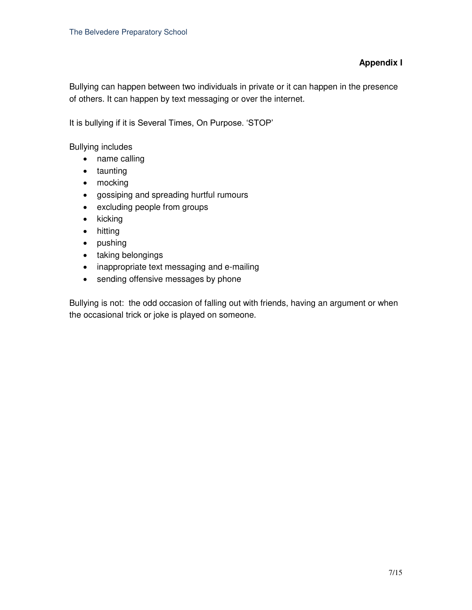#### **Appendix I**

Bullying can happen between two individuals in private or it can happen in the presence of others. It can happen by text messaging or over the internet.

It is bullying if it is Several Times, On Purpose. 'STOP'

Bullying includes

- name calling
- taunting
- mocking
- gossiping and spreading hurtful rumours
- excluding people from groups
- $\bullet$  kicking
- hitting
- pushing
- taking belongings
- inappropriate text messaging and e-mailing
- sending offensive messages by phone

Bullying is not: the odd occasion of falling out with friends, having an argument or when the occasional trick or joke is played on someone.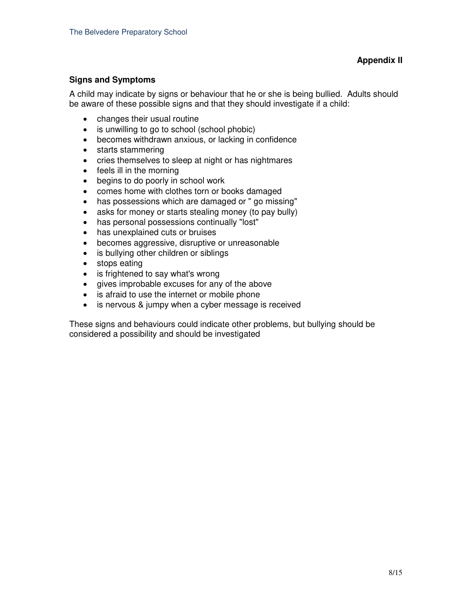#### **Signs and Symptoms**

A child may indicate by signs or behaviour that he or she is being bullied. Adults should be aware of these possible signs and that they should investigate if a child:

- changes their usual routine
- is unwilling to go to school (school phobic)
- becomes withdrawn anxious, or lacking in confidence
- starts stammering
- cries themselves to sleep at night or has nightmares
- feels ill in the morning
- begins to do poorly in school work
- comes home with clothes torn or books damaged
- has possessions which are damaged or " go missing"
- asks for money or starts stealing money (to pay bully)
- has personal possessions continually "lost"
- has unexplained cuts or bruises
- becomes aggressive, disruptive or unreasonable
- is bullying other children or siblings
- stops eating
- is frightened to say what's wrong
- gives improbable excuses for any of the above
- is afraid to use the internet or mobile phone
- is nervous & jumpy when a cyber message is received

These signs and behaviours could indicate other problems, but bullying should be considered a possibility and should be investigated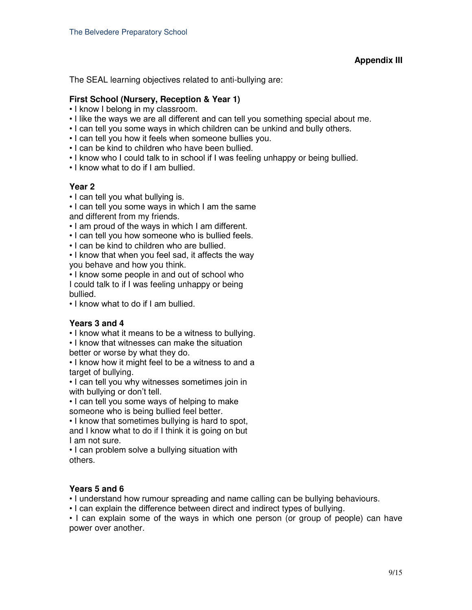#### **Appendix III**

The SEAL learning objectives related to anti-bullying are:

#### **First School (Nursery, Reception & Year 1)**

- I know I belong in my classroom.
- I like the ways we are all different and can tell you something special about me.
- I can tell you some ways in which children can be unkind and bully others.
- I can tell you how it feels when someone bullies you.
- I can be kind to children who have been bullied.
- I know who I could talk to in school if I was feeling unhappy or being bullied.
- I know what to do if I am bullied.

#### **Year 2**

• I can tell you what bullying is.

• I can tell you some ways in which I am the same and different from my friends.

- I am proud of the ways in which I am different.
- I can tell you how someone who is bullied feels.
- I can be kind to children who are bullied.

• I know that when you feel sad, it affects the way you behave and how you think.

• I know some people in and out of school who I could talk to if I was feeling unhappy or being bullied.

• I know what to do if I am bullied.

#### **Years 3 and 4**

• I know what it means to be a witness to bullying.

• I know that witnesses can make the situation

better or worse by what they do.

• I know how it might feel to be a witness to and a target of bullying.

• I can tell you why witnesses sometimes join in with bullying or don't tell.

• I can tell you some ways of helping to make

someone who is being bullied feel better.

• I know that sometimes bullying is hard to spot, and I know what to do if I think it is going on but I am not sure.

• I can problem solve a bullying situation with others.

#### **Years 5 and 6**

• I understand how rumour spreading and name calling can be bullying behaviours.

• I can explain the difference between direct and indirect types of bullying.

• I can explain some of the ways in which one person (or group of people) can have power over another.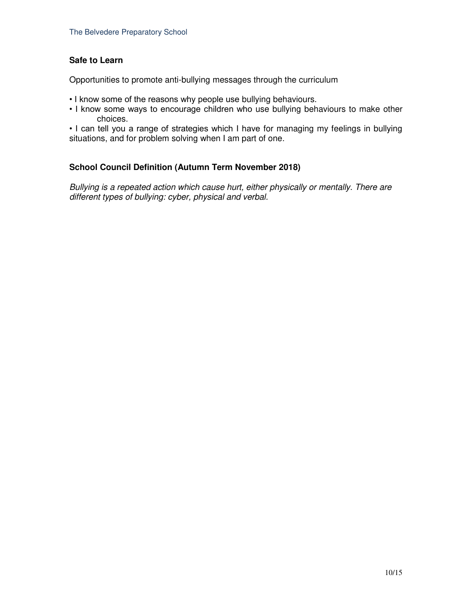#### **Safe to Learn**

Opportunities to promote anti-bullying messages through the curriculum

- I know some of the reasons why people use bullying behaviours.
- I know some ways to encourage children who use bullying behaviours to make other choices.

• I can tell you a range of strategies which I have for managing my feelings in bullying situations, and for problem solving when I am part of one.

#### **School Council Definition (Autumn Term November 2018)**

*Bullying is a repeated action which cause hurt, either physically or mentally. There are different types of bullying: cyber, physical and verbal.*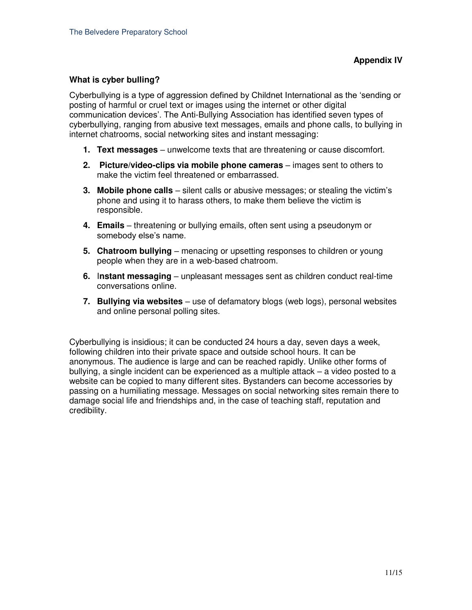#### **What is cyber bulling?**

Cyberbullying is a type of aggression defined by Childnet International as the 'sending or posting of harmful or cruel text or images using the internet or other digital communication devices'. The Anti-Bullying Association has identified seven types of cyberbullying, ranging from abusive text messages, emails and phone calls, to bullying in internet chatrooms, social networking sites and instant messaging:

- **1. Text messages** unwelcome texts that are threatening or cause discomfort.
- **2. Picture/video-clips via mobile phone cameras** images sent to others to make the victim feel threatened or embarrassed.
- **3. Mobile phone calls** silent calls or abusive messages; or stealing the victim's phone and using it to harass others, to make them believe the victim is responsible.
- **4. Emails**  threatening or bullying emails, often sent using a pseudonym or somebody else's name.
- **5. Chatroom bullying**  menacing or upsetting responses to children or young people when they are in a web-based chatroom.
- **6.** I**nstant messaging**  unpleasant messages sent as children conduct real-time conversations online.
- **7. Bullying via websites** use of defamatory blogs (web logs), personal websites and online personal polling sites.

Cyberbullying is insidious; it can be conducted 24 hours a day, seven days a week, following children into their private space and outside school hours. It can be anonymous. The audience is large and can be reached rapidly. Unlike other forms of bullying, a single incident can be experienced as a multiple attack – a video posted to a website can be copied to many different sites. Bystanders can become accessories by passing on a humiliating message. Messages on social networking sites remain there to damage social life and friendships and, in the case of teaching staff, reputation and credibility.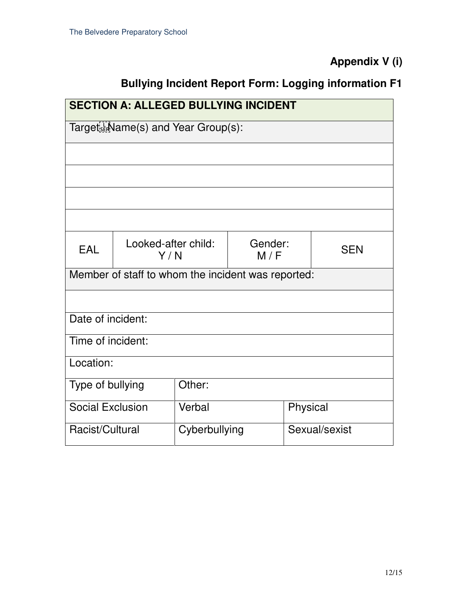**Appendix V (i)** 

### **Bullying Incident Report Form: Logging information F1**

| <b>SECTION A: ALLEGED BULLYING INCIDENT</b>        |                            |               |                |               |            |  |  |
|----------------------------------------------------|----------------------------|---------------|----------------|---------------|------------|--|--|
| Target Ed Name(s) and Year Group(s):               |                            |               |                |               |            |  |  |
|                                                    |                            |               |                |               |            |  |  |
|                                                    |                            |               |                |               |            |  |  |
|                                                    |                            |               |                |               |            |  |  |
|                                                    |                            |               |                |               |            |  |  |
| EAL                                                | Looked-after child:<br>Y/N |               | Gender:<br>M/F |               | <b>SEN</b> |  |  |
| Member of staff to whom the incident was reported: |                            |               |                |               |            |  |  |
|                                                    |                            |               |                |               |            |  |  |
| Date of incident:                                  |                            |               |                |               |            |  |  |
| Time of incident:                                  |                            |               |                |               |            |  |  |
| Location:                                          |                            |               |                |               |            |  |  |
| Type of bullying                                   |                            | Other:        |                |               |            |  |  |
| <b>Social Exclusion</b>                            |                            | Verbal        |                | Physical      |            |  |  |
| Racist/Cultural                                    |                            | Cyberbullying |                | Sexual/sexist |            |  |  |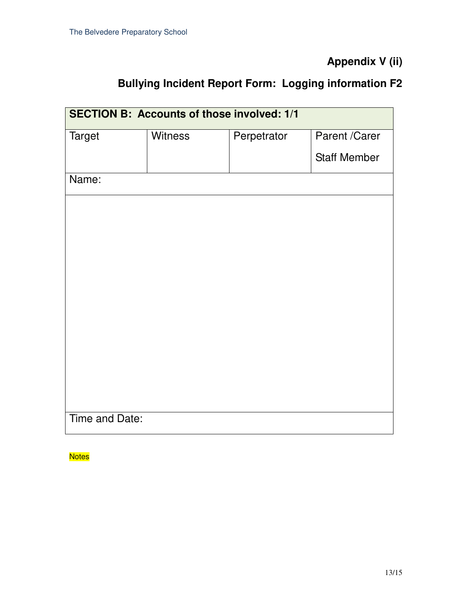### **Appendix V (ii)**

### **Bullying Incident Report Form: Logging information F2**

| <b>SECTION B: Accounts of those involved: 1/1</b> |                |             |                     |  |  |  |
|---------------------------------------------------|----------------|-------------|---------------------|--|--|--|
| <b>Target</b>                                     | <b>Witness</b> | Perpetrator | Parent /Carer       |  |  |  |
|                                                   |                |             | <b>Staff Member</b> |  |  |  |
| Name:                                             |                |             |                     |  |  |  |
|                                                   |                |             |                     |  |  |  |
|                                                   |                |             |                     |  |  |  |
|                                                   |                |             |                     |  |  |  |
|                                                   |                |             |                     |  |  |  |
|                                                   |                |             |                     |  |  |  |
|                                                   |                |             |                     |  |  |  |
|                                                   |                |             |                     |  |  |  |
|                                                   |                |             |                     |  |  |  |
|                                                   |                |             |                     |  |  |  |
| Time and Date:                                    |                |             |                     |  |  |  |

**Notes**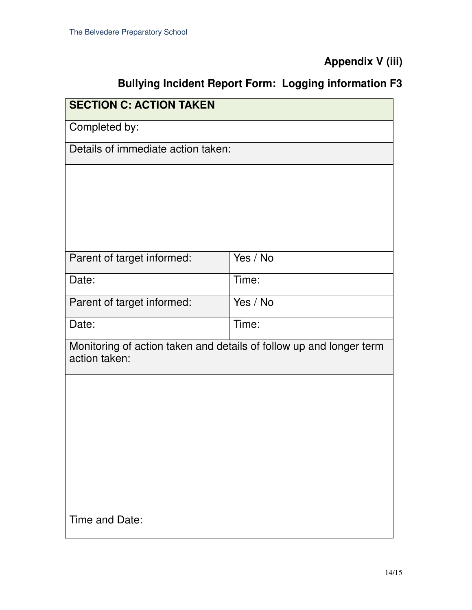### **Appendix V (iii)**

## **Bullying Incident Report Form: Logging information F3**

| <b>SECTION C: ACTION TAKEN</b>                                                       |            |  |  |  |  |
|--------------------------------------------------------------------------------------|------------|--|--|--|--|
| Completed by:                                                                        |            |  |  |  |  |
| Details of immediate action taken:                                                   |            |  |  |  |  |
|                                                                                      |            |  |  |  |  |
|                                                                                      |            |  |  |  |  |
|                                                                                      |            |  |  |  |  |
|                                                                                      |            |  |  |  |  |
| Parent of target informed:                                                           | Yes / $No$ |  |  |  |  |
| Date:                                                                                | Time:      |  |  |  |  |
| Parent of target informed:                                                           | Yes / No   |  |  |  |  |
| Date:                                                                                | Time:      |  |  |  |  |
| Monitoring of action taken and details of follow up and longer term<br>action taken: |            |  |  |  |  |
|                                                                                      |            |  |  |  |  |
|                                                                                      |            |  |  |  |  |
|                                                                                      |            |  |  |  |  |
|                                                                                      |            |  |  |  |  |
|                                                                                      |            |  |  |  |  |
|                                                                                      |            |  |  |  |  |
|                                                                                      |            |  |  |  |  |
| Time and Date:                                                                       |            |  |  |  |  |